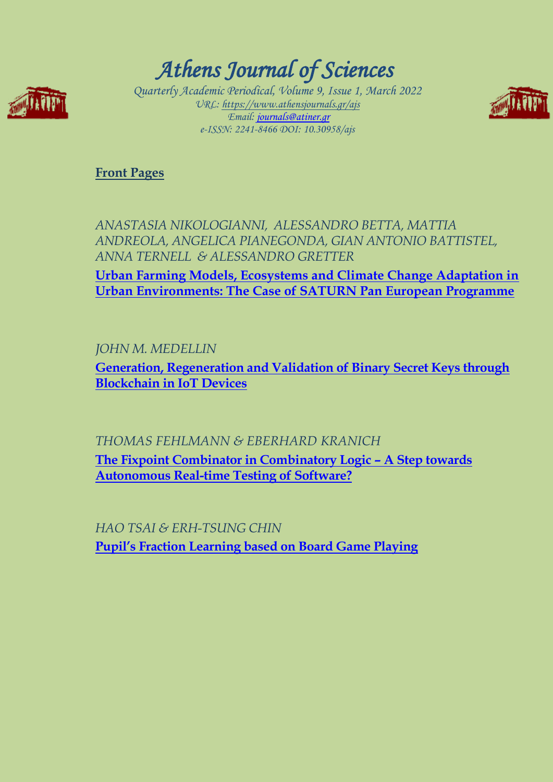

# *Athens Journal of Sciences*

*Quarterly Academic Periodical, Volume 9, Issue 1, March 2022 URL: https://www.athensjournals.gr/ajs Email: [journals@atiner.gr](mailto:journals@atiner.gr) e-ISSN: 2241-8466 DOI: 10.30958/ajs* 



**[Front Pages](https://www.athensjournals.gr/sciences/Cover-2022-01SCI.pdf)**

*ANASTASIA NIKOLOGIANNI, ALESSANDRO BETTA, MATTIA ANDREOLA, ANGELICA PIANEGONDA, GIAN ANTONIO BATTISTEL, ANNA TERNELL & ALESSANDRO GRETTER* 

**[Urban Farming Models, Ecosystems and Climate Change Adaptation in](http://www.athensjournals.gr/sciences/2022-9-1-1-Nikologianni.pdf)  [Urban Environments: The Case of SATURN Pan European Programme](http://www.athensjournals.gr/sciences/2022-9-1-1-Nikologianni.pdf)**

*JOHN M. MEDELLIN* 

**[Generation, Regeneration and Validation of Binary Secret Keys through](http://www.athensjournals.gr/sciences/2022-9-1-2-Medellin.pdf)  [Blockchain in IoT Devices](http://www.athensjournals.gr/sciences/2022-9-1-2-Medellin.pdf)** 

*THOMAS FEHLMANN & EBERHARD KRANICH* 

**[The Fixpoint Combinator in Combinatory Logic](http://www.athensjournals.gr/sciences/2022-9-1-3-Fehlmann.pdf) – A Step towards [Autonomous Real-time Testing of Software?](http://www.athensjournals.gr/sciences/2022-9-1-3-Fehlmann.pdf)**

*HAO TSAI & ERH-TSUNG CHIN* **[Pupil's Fraction Learning based on Board Game Playing](http://www.athensjournals.gr/sciences/2022-9-1-4-Tsai.pdf)**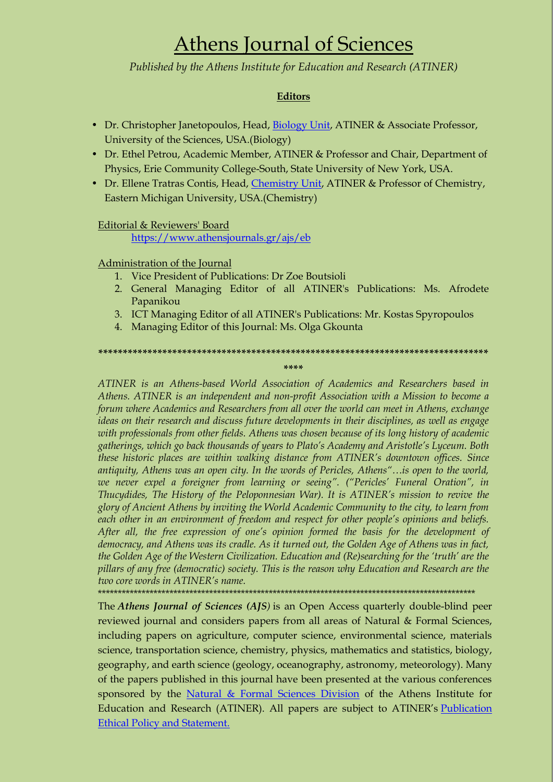# Athens Journal of Sciences

*Published by the Athens Institute for Education and Research (ATINER)*

#### **Editors**

- Dr. Christopher Janetopoulos, Head, [Biology Unit,](http://www.atiner.gr/BIOLOGY-UNIT.htm) ATINER & Associate Professor, University of the Sciences, USA.(Biology)
- Dr. Ethel Petrou, Academic Member, ATINER & Professor and Chair, Department of Physics, Erie Community College-South, State University of New York, USA.
- Dr. Ellene Tratras Contis, Head, [Chemistry Unit,](http://www.atiner.gr/CHEMISTRY-UNIT.htm) ATINER & Professor of Chemistry, Eastern Michigan University, USA.(Chemistry)

#### Editorial & Reviewers' Board

<https://www.athensjournals.gr/ajs/eb>

#### Administration of the Journal

- 1. Vice President of Publications: Dr Zoe Boutsioli
- 2. General Managing Editor of all ATINER's Publications: Ms. Afrodete Papanikou
- 3. ICT Managing Editor of all ATINER's Publications: Mr. Kostas Spyropoulos
- 4. Managing Editor of this Journal: Ms. Olga Gkounta

**\*\*\*\*\*\*\*\*\*\*\*\*\*\*\*\*\*\*\*\*\*\*\*\*\*\*\*\*\*\*\*\*\*\*\*\*\*\*\*\*\*\*\*\*\*\*\*\*\*\*\*\*\*\*\*\*\*\*\*\*\*\*\*\*\*\*\*\*\*\*\*\*\*\*\*\*\*\*\***

**\*\*\*\***

*ATINER is an Athens-based World Association of Academics and Researchers based in Athens. ATINER is an independent and non-profit Association with a Mission to become a forum where Academics and Researchers from all over the world can meet in Athens, exchange ideas on their research and discuss future developments in their disciplines, as well as engage with professionals from other fields. Athens was chosen because of its long history of academic gatherings, which go back thousands of years to Plato"s Academy and Aristotle"s Lyceum. Both these historic places are within walking distance from ATINER"s downtown offices. Since antiquity, Athens was an open city. In the words of Pericles, Athens"…is open to the world, we never expel a foreigner from learning or seeing". ("Pericles" Funeral Oration", in Thucydides, The History of the Peloponnesian War). It is ATINER"s mission to revive the glory of Ancient Athens by inviting the World Academic Community to the city, to learn from each other in an environment of freedom and respect for other people"s opinions and beliefs. After all, the free expression of one"s opinion formed the basis for the development of democracy, and Athens was its cradle. As it turned out, the Golden Age of Athens was in fact, the Golden Age of the Western Civilization. Education and (Re)searching for the "truth" are the pillars of any free (democratic) society. This is the reason why Education and Research are the two core words in ATINER"s name.*

\*\*\*\*\*\*\*\*\*\*\*\*\*\*\*\*\*\*\*\*\*\*\*\*\*\*\*\*\*\*\*\*\*\*\*\*\*\*\*\*\*\*\*\*\*\*\*\*\*\*\*\*\*\*\*\*\*\*\*\*\*\*\*\*\*\*\*\*\*\*\*\*\*\*\*\*\*\*\*\*\*\*\*\*\*\*\*\*\*\*\*\*\*\*\*

Education and Research (ATINER). All papers are subject to ATINER's <u>Publication</u> The *Athens Journal of Sciences (AJS)* is an Open Access quarterly double-blind peer reviewed journal and considers papers from all areas of Natural & Formal Sciences, including papers on agriculture, computer science, environmental science, materials science, transportation science, chemistry, physics, mathematics and statistics, biology, geography, and earth science (geology, oceanography, astronomy, meteorology). Many of the papers published in this journal have been presented at the various conferences sponsored by the [Natural & Formal Sciences Division](http://www.atiner.gr/SRD.htm) of the Athens Institute for [Ethical Policy and Statement.](https://www.athensjournals.gr/ethics.pdf)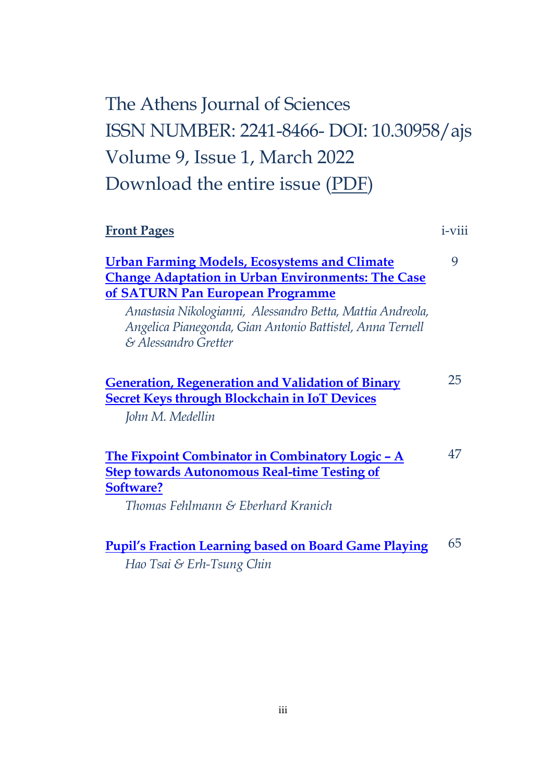# The Athens Journal of Sciences ISSN NUMBER: 2241-8466- DOI: 10.30958/ajs Volume 9, Issue 1, March 2022 Download the entire issue [\(PDF\)](https://www.athensjournals.gr/sciences/2022-01SCI.pdf)

| <b>Front Pages</b>                                                                                                                                                                                                                                                             | <i>i</i> -viii |
|--------------------------------------------------------------------------------------------------------------------------------------------------------------------------------------------------------------------------------------------------------------------------------|----------------|
| <b>Urban Farming Models, Ecosystems and Climate</b><br><b>Change Adaptation in Urban Environments: The Case</b><br>of SATURN Pan European Programme<br>Anastasia Nikologianni, Alessandro Betta, Mattia Andreola,<br>Angelica Pianegonda, Gian Antonio Battistel, Anna Ternell | 9              |
| & Alessandro Gretter                                                                                                                                                                                                                                                           |                |
| <b>Generation, Regeneration and Validation of Binary</b><br><b>Secret Keys through Blockchain in IoT Devices</b><br>John M. Medellin                                                                                                                                           | 25             |
| The Fixpoint Combinator in Combinatory Logic - A<br><b>Step towards Autonomous Real-time Testing of</b><br>Software?<br>Thomas Fehlmann & Eberhard Kranich                                                                                                                     | 47             |
| <b>Pupil's Fraction Learning based on Board Game Playing</b><br>Hao Tsai & Erh-Tsung Chin                                                                                                                                                                                      | 65             |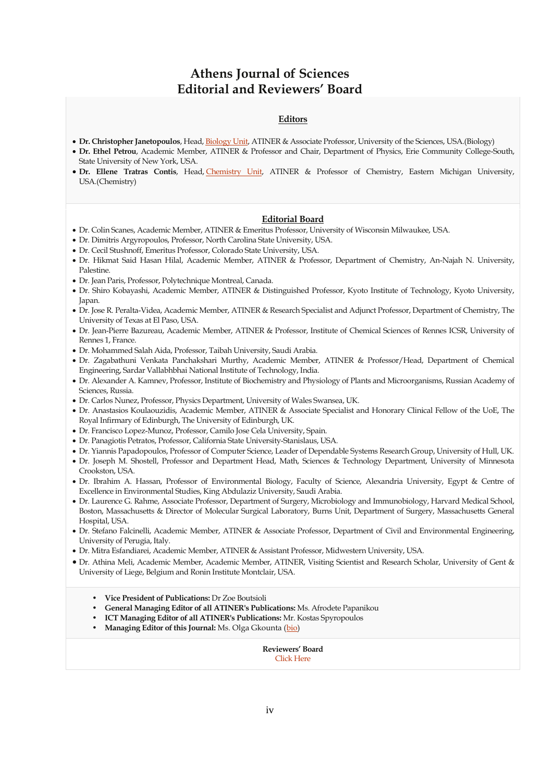## **Athens Journal of Sciences Editorial and Reviewers' Board**

#### **Editors**

- **Dr. Christopher Janetopoulos**, Head, [Biology Unit,](http://www.atiner.gr/BIOLOGY-UNIT.htm) ATINER & Associate Professor, University of the Sciences, USA.(Biology)
- **Dr. Ethel Petrou**, Academic Member, ATINER & Professor and Chair, Department of Physics, Erie Community College-South, State University of New York, USA.
- **Dr. Ellene Tratras Contis**, Head, [Chemistry Unit,](http://www.atiner.gr/CHEMISTRY-UNIT.htm) ATINER & Professor of Chemistry, Eastern Michigan University, USA.(Chemistry)

#### **Editorial Board**

- Dr. Colin Scanes, Academic Member, ATINER & Emeritus Professor, University of Wisconsin Milwaukee, USA.
- Dr. Dimitris Argyropoulos, Professor, North Carolina State University, USA.
- Dr. Cecil Stushnoff, Emeritus Professor, Colorado State University, USA.
- Dr. Hikmat Said Hasan Hilal, Academic Member, ATINER & Professor, Department of Chemistry, An-Najah N. University, Palestine.
- Dr. Jean Paris, Professor, Polytechnique Montreal, Canada.
- Dr. Shiro Kobayashi, Academic Member, ATINER & Distinguished Professor, Kyoto Institute of Technology, Kyoto University, Japan.
- Dr. Jose R. Peralta-Videa, Academic Member, ATINER & Research Specialist and Adjunct Professor, Department of Chemistry, The University of Texas at El Paso, USA.
- Dr. Jean-Pierre Bazureau, Academic Member, ATINER & Professor, Institute of Chemical Sciences of Rennes ICSR, University of Rennes 1, France.
- Dr. Mohammed Salah Aida, Professor, Taibah University, Saudi Arabia.
- Dr. Zagabathuni Venkata Panchakshari Murthy, Academic Member, ATINER & Professor/Head, Department of Chemical Engineering, Sardar Vallabhbhai National Institute of Technology, India.
- Dr. Alexander A. Kamnev, Professor, Institute of Biochemistry and Physiology of Plants and Microorganisms, Russian Academy of Sciences, Russia.
- Dr. Carlos Nunez, Professor, Physics Department, University of Wales Swansea, UK.
- Dr. Anastasios Koulaouzidis, Academic Member, ATINER & Associate Specialist and Honorary Clinical Fellow of the UoE, The Royal Infirmary of Edinburgh, The University of Edinburgh, UK.
- Dr. Francisco Lopez-Munoz, Professor, Camilo Jose Cela University, Spain.
- Dr. Panagiotis Petratos, Professor, California State University-Stanislaus, USA.
- Dr. Yiannis Papadopoulos, Professor of Computer Science, Leader of Dependable Systems Research Group, University of Hull, UK.
- Dr. Joseph M. Shostell, Professor and Department Head, Math, Sciences & Technology Department, University of Minnesota Crookston, USA.
- Dr. Ibrahim A. Hassan, Professor of Environmental Biology, Faculty of Science, Alexandria University, Egypt & Centre of Excellence in Environmental Studies, King Abdulaziz University, Saudi Arabia.
- Dr. Laurence G. Rahme, Associate Professor, Department of Surgery, Microbiology and Immunobiology, Harvard Medical School, Boston, Massachusetts & Director of Molecular Surgical Laboratory, Burns Unit, Department of Surgery, Massachusetts General Hospital, USA.
- Dr. Stefano Falcinelli, Academic Member, ATINER & Associate Professor, Department of Civil and Environmental Engineering, University of Perugia, Italy.
- Dr. Mitra Esfandiarei, Academic Member, ATINER & Assistant Professor, Midwestern University, USA.
- Dr. Athina Meli, Academic Member, Academic Member, ATINER, Visiting Scientist and Research Scholar, University of Gent & University of Liege, Belgium and Ronin Institute Montclair, USA.
	- **Vice President of Publications:** Dr Zoe Boutsioli
	- **General Managing Editor of all ATINER's Publications:** Ms. Afrodete Papanikou
	- **ICT Managing Editor of all ATINER's Publications:** Mr. Kostas Spyropoulos
	- Managing Editor of this Journal: Ms. Olga Gkounta [\(bio\)](https://www.athensjournals.gr/og-cv)

**Reviewers' Board** [Click Here](http://www.athensjournals.gr/ajsrb)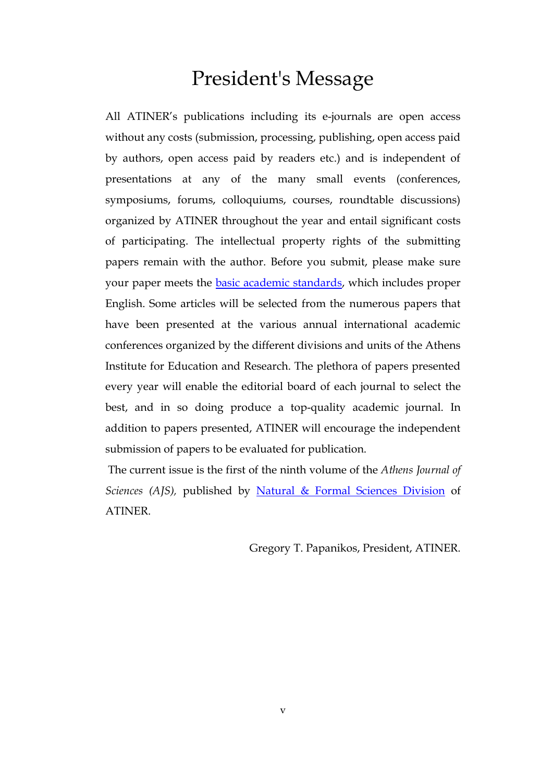# President's Message

All ATINER's publications including its e-journals are open access without any costs (submission, processing, publishing, open access paid by authors, open access paid by readers etc.) and is independent of presentations at any of the many small events (conferences, symposiums, forums, colloquiums, courses, roundtable discussions) organized by ATINER throughout the year and entail significant costs of participating. The intellectual property rights of the submitting papers remain with the author. Before you submit, please make sure your paper meets the **basic academic standards**, which includes proper English. Some articles will be selected from the numerous papers that have been presented at the various annual international academic conferences organized by the different divisions and units of the Athens Institute for Education and Research. The plethora of papers presented every year will enable the editorial board of each journal to select the best, and in so doing produce a top-quality academic journal. In addition to papers presented, ATINER will encourage the independent submission of papers to be evaluated for publication.

The current issue is the first of the ninth volume of the *Athens Journal of Sciences (AJS),* published by [Natural & Formal Sciences Division](http://www.atiner.gr/SRD.htm) of ATINER.

Gregory T. Papanikos, President, ATINER.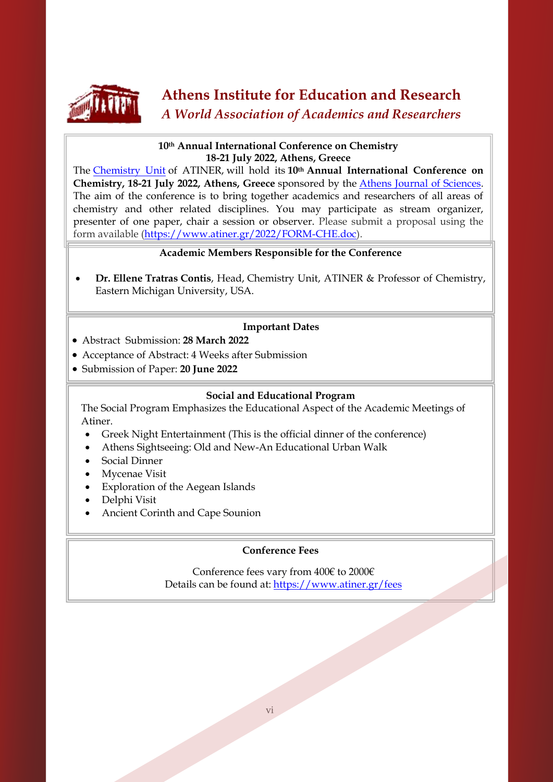

## **Athens Institute for Education and Research** *A World Association of Academics and Researchers*

#### **10th Annual International Conference on Chemistry 18-21 July 2022, Athens, Greece**

The [Chemistry Unit](http://www.atiner.gr/CHEMISTRY-UNIT) of ATINER, will hold its **10th Annual International Conference on Chemistry, 18-21 July 2022, Athens, Greece** sponsored by the [Athens Journal of Sciences.](http://www.athensjournals.gr/ajs) The aim of the conference is to bring together academics and researchers of all areas of chemistry and other related disciplines. You may participate as stream organizer, presenter of one paper, chair a session or observer. Please submit a proposal using the form available [\(https://www.atiner.gr/2022/FORM-CHE.doc\)](https://www.atiner.gr/2022/FORM-CHE.doc).

### **Academic Members Responsible for the Conference**

 **Dr. Ellene Tratras Contis**, Head, [Chemistry Unit,](http://www.atiner.gr/CHEMISTRY-UNIT.htm) ATINER & Professor of Chemistry, Eastern Michigan University, USA.

### **Important Dates**

- Abstract Submission: **28 March 2022**
- Acceptance of Abstract: 4 Weeks after Submission
- Submission of Paper: **20 June 2022**

#### **Social and Educational Program**

The Social Program Emphasizes the Educational Aspect of the Academic Meetings of Atiner.

- Greek Night Entertainment (This is the official dinner of the conference)
- Athens Sightseeing: Old and New-An Educational Urban Walk
- Social Dinner

l

- Mycenae Visit
- Exploration of the Aegean Islands
- Delphi Visit
- Ancient Corinth and Cape Sounion

### **Conference Fees**

Conference fees vary from 400€ to 2000€ Details can be found at: <https://www.atiner.gr/fees>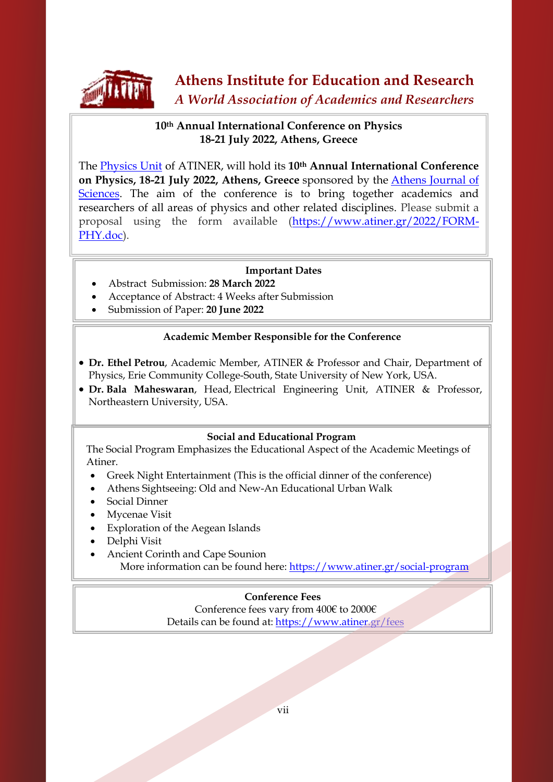

## **10th Annual International Conference on Physics 18-21 July 2022, Athens, Greece**

The [Physics Unit](http://www.atiner.gr/PHYSICS-UNIT) of ATINER, will hold its **10th Annual International Conference on Physics, 18-21 July 2022, Athens, Greece** sponsored by the [Athens Journal of](http://www.athensjournals.gr/ajs)  [Sciences.](http://www.athensjournals.gr/ajs) The aim of the conference is to bring together academics and researchers of all areas of physics and other related disciplines. Please submit a proposal using the form available [\(https://www.atiner.gr/2022/FORM-](https://www.atiner.gr/2022/FORM-PHY.doc)[PHY.doc\)](https://www.atiner.gr/2022/FORM-PHY.doc).

#### **Important Dates**

- Abstract Submission: **28 March 2022**
- Acceptance of Abstract: 4 Weeks after Submission
- Submission of Paper: **20 June 2022**

### **Academic Member Responsible for the Conference**

- **Dr. Ethel Petrou**, Academic Member, ATINER & Professor and Chair, Department of Physics, Erie Community College-South, State University of New York, USA.
- **Dr. Bala Maheswaran**, Head, [Electrical Engineering Unit,](https://www.atiner.gr/ELECTRICAL-UNIT) ATINER & Professor, Northeastern University, USA.

#### **Social and Educational Program**

 The Social Program Emphasizes the Educational Aspect of the Academic Meetings of Atiner.

- Greek Night Entertainment (This is the official dinner of the conference)
- Athens Sightseeing: Old and New-An Educational Urban Walk
- Social Dinner

L

- Mycenae Visit
- Exploration of the Aegean Islands
- Delphi Visit
- Ancient Corinth and Cape Sounion More information can be found here[: https://www.atiner.gr/social-program](https://www.atiner.gr/social-program)

### **Conference Fees**

Conference fees vary from 400€ to 2000€ Details can be found at: <https://www.atiner.gr/fees>